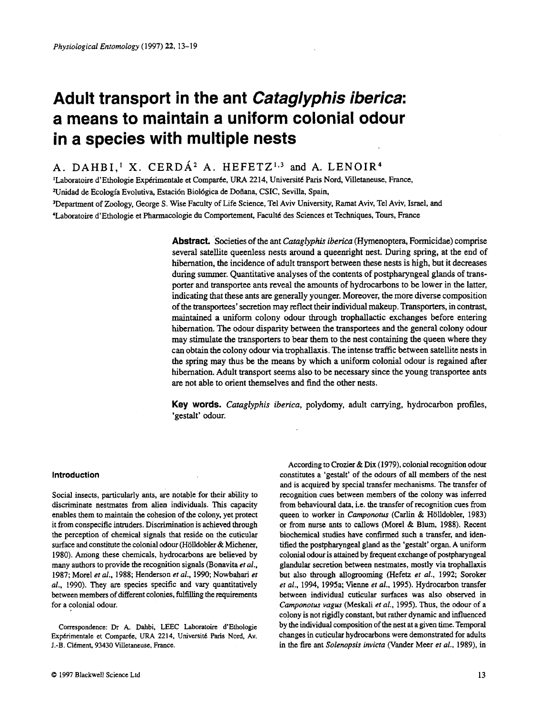# **Adult transport in the ant** *Cataglyphis iberica:*  **a means to maintain a uniform colonial odour in a species with multiple nests**

A. DAHBI,<sup>1</sup> X. CERDÁ<sup>2</sup> A. HEFETZ<sup>1,3</sup> and A. LENOIR<sup>4</sup>

'Laboratoire d'Ethologie Exp6rimentale et Compar6e. URA **22** 14, Universit6 **Paris** Nord, Villetaneuse, France,

<sup>2</sup>Unidad de Ecología Evolutiva, Estación Biológica de Doñana, CSIC, Sevilla, Spain,

)Department of Zoology, George **S.** Wise Faculty of Life Science, Tel Aviv University, Ramat Aviv, Tel Aviv, Israel, and

4Laboratoire d'Ethologie et Pharmacologie du Comportement, Facult6 des Sciences et Techniques, Tours, France

**Abstract.** Societies of the ant *Cumglyphis iberica* (Hymenoptera, Formicidae) comprise several satellite queenless nests around a queenright nest. During spring, at the end of hibernation, the incidence **of** adult transport between these nests is high, but it decreases during summer. Quantitative analyses of the contents of postpharyngeal glands of transporter and transportee ants reveal the amounts of hydrocarbons to be lower in the latter, indicating that these ants are generally younger. Moreover, the more diverse composition of the transportees' secretion may reflect their individual makeup. Transporters, in contrast, maintained **a** uniform colony odour through trophallactic exchanges before entering hibernation. The odour disparity between the transportees and the general colony odour may stimulate the transporters to bear them to the nest containing the queen where they can obtain the colony odour via trophallaxis. The intense traffic between satellite nests in the spring **may** thus be the means by which a uniform colonial odour is regained after hibernation. Adult transport seems also to be necessary since the young transportee ants are not able to orient themselves and find the other nests.

**Key words.** *Cutuglyphis iberica,* polydomy, adult canying, hydrocarbon profiles, 'gestalt' odour.

## **Introduction**

Social insects, particularly ants, are notable for their ability to discriminate nestmates from alien individuals. **This** capacity enables them to maintain the cohesion of the colony, yet protect it from conspecific intruders. Discrimination is achieved through the perception of chemical signals that reside on the cuticular surface and constitute the colonial odour (Hölldobler & Michener, 1980). Among these chemicals, hydrocarbons are believed by many authors to provide the recognition signals (Bonavita *et al.,*  1987; Morel *et al..* 1988; Henderson *et al.,* 1990; Nowbahari *et al.,* 1990). They are species specific and vary quantitatively between members of different colonies, fulfilling the requirements for a colonial odour.

Correspondence: Dr **A. Dahbi,** LEEC Laboratoire d'Ethologie Expérimentale et Comparée, URA 2214, Université Paris Nord, Av. J.-B. Clément, 93430 Villetaneuse, France.

According to Crozier & Dix (1979), colonial **recognition odour**  constitutes a 'gestalt' of the odours of all members of the nest and is acquired by special transfer mechanisms. The transfer of recognition cues between members of the colony **was** inferred from behavioural **data,** i.e. the transfer of recognition cues from queen to worker in *Camponotus* (Carlin & Hölldobler, 1983) or from nurse ants to callows (Morel & Blum, 1988). Recent biochemical studies have confirmed such a transfer, and identified the postpharyngeal gland **as** the 'gestalt' organ. A uniform colonial **odour** is attained by frequent exchange of postpharyngeal glandular secretion between nestmates, mostly via trophallaxis but also through allogrooming (Hefetz *et al.,* 1992; Soroker *et at.,* 1994, 1995a; Vienne *et al.,* 1995). Hydrocarbon transfer between individual cuticular surfaces was also observed in *Camponorus vugus* (Meskali *et al.,* 1995). Thus, the odour of a colony is not rigidly constant, but rather dynamic and influenced by the individual composition of the nest at a given time. Temporal changes in cuticular hydrocarbons were demonstrated for adults in the fire ant *Solenopsis invictu* (Vander Meer *et al.,* 1989), in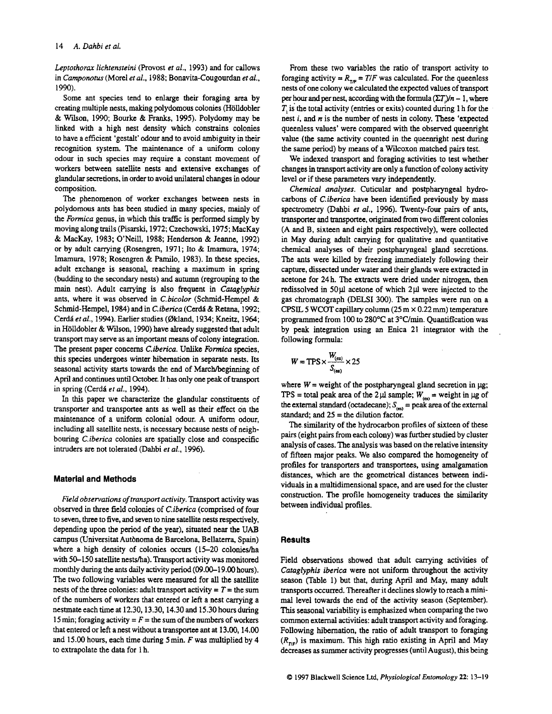*Leptorhorax lichtensteini* (Provost *et al.,* 1993) and for callows in *Camponotus* (Morel *et al.,* 1988; Bonavita-Cougourdan *et at.,*  1990).

Some ant species tend to enlarge their foraging **area** by creating multiple nests, making polydomous colonies (Holldobler & Wilson, 1990; Bourke & Franks, 1995). Polydomy may be linked with a high nest density which constrains colonies to have a efficient 'gestalt' odour and to avoid ambiguity in their recognition system. The maintenance of a uniform colony odour in such species may require a constant movement of workers between satellite nests and extensive exchanges of glandular secretions, in order to avoid unilateral changes in **odour**  composition.

The phenomenon of worker exchanges between nests in polydomous ants has been studied in many species, mainly of the *Formica* genus, in which this traffic is performed simply by moving along trails (Pisarski, 1972; Czechowski, 1975; MacKay & MacKay, 1983; O'Neill, 1988; Henderson & Jeanne, 1992) or by adult carrying (Rosengren, 1971; It0 & **Imamura,** 1974; **Imamura,** 1978; Rosengren & Pamilo, 1983). In these species, adult exchange is seasonal, reaching a maximum in spring (budding to the secondary nests) and autumn (regrouping to the main nest). Adult carrying is also frequent in *Cataglyphis*  ants, where it was observed in *C-bicolor* (Schmid-Hempel & Schmid-Hempel, 1984) and in *C.iberica* (Cerda & Retana, 1992; Cerd6 *etal.,* 1994). Earlier studies (Okland, 1934; Kneitz, 1964; in H6lldobler & Wilson, 1990) have already suggested that adult transport may serve **as** an important means of colony integration. The present paper concerns *Ciberica.* **Unlike** *Formica* species, this species undergoes winter hibernation in separate nests. Its seasonal activity starts towards the end of March/beginning of April and continues **until** October. It **has** only one peak of transport **in** spring (Cerd6 *et al.,* 1994).

In **this** paper we characterize the glandular constituents of transporter and transportee ants **as** well **as** their effect on the maintenance of a uniform colonial odour. A uniform odour, including all satellite nests, is necessary because nests of neighbouring *C.iberica* colonies are spatially close and conspecific intruders are not tolerated (Dahbi *et al.,* 1996).

# **Material and Methods**

*Field observations* of *transport activiry.* Transport activity was observed in three field colonies of *C.iberica* (comprised of four to seven, three to five, and seven to nine satellite nests respectively, depending upon the period of the year), situated **near** the **UAB**  campus (Universitat Autbnoma de Barcelona, Bellaterra, Spain) where a high density of colonies occurs (15-20 colonies/ha with 50-150 satellite nests/ha). Transport activity was monitored monthly during the ants daily activity period (09.00-19.00 hours). The two following variables were measured for all the satellite nests of the three colonies: adult transport activity  $= T =$  the sum of the numbers of workers that entered or left a nest carrying a nestmate each time at 12.30,13.30,14.30 and 15.30 hours during 15 min; foraging activity  $= F =$  the sum of the numbers of workers that entered or left a nest without a transportee ant at 13.00, 14.00 and 15.00 hours, each **time** during Smin. *F* was multiplied by 4 to extrapolate the data for 1 h.

From these two variables the ratio of transport activity to foraging activity =  $R_{\text{TF}} = T/F$  was calculated. For the queenless nests of one colony we calculated the expected values of transport per hour and per nest, according with the formula  $(\Sigma T)/n - 1$ , where *T',* is the total activity (entries or exits) counted during 1 h for the nest  $i$ , and  $n$  is the number of nests in colony. These 'expected queenless values' were compared with the observed queenright value (the same activity counted in the queenright nest during the same period) by means of a Wilcoxon matched pairs test.

We indexed transport and foraging activities to test whether changes in transport activity *are* only a function of colony activity level or if these parameters vary independently.

*Chemical analyses.* Cuticular and postpharyngeal hydrocarbons of C. *ibericu* have been identified previously by mass spectrometry (Dahbi et *al.*, 1996). Twenty-four pairs of ants, transporter and transportee, originated from two different colonies (A and B, sixteen and eight pairs respectively), were collected in May during adult carrying for qualitative and quantitative chemical analyses **of** their postpharyngeal gland secretions. The ants were killed by freezing immediately following their capture, dissected under water and their glands were extracted in acetone for 24 h. The extracts were dried under nitrogen, then redissolved in **50pl** acetone of which 2pl were injected to the gas chromatograph (DELSI 300). The samples were **run** on a CPSIL *5* WCOT capillary column (25 m x 0.22 mm) temperature programmed from 100 to 280°C at 3°C/min. Quantification was by peak integration using an Enica 21 integrator with the following formula: grammed from 100 to<br>peak integration usin<br>lowing formula:<br> $W = TPS \times \frac{W_{(cs)}}{S_{(es)}} \times 25$ 

$$
W = TPS \times \frac{W_{(es)}}{S_{(es)}} \times 25
$$

where  $W =$  weight of the postpharyngeal gland secretion in  $\mu$ g; **TPS** = total peak area of the 2 $\mu$  sample;  $W_{(4)}$  = weight in  $\mu$ g of the external standard (octadecane);  $S_{(ss)}$  = peak area of the external standard; and **25** = the dilution factor.

The similarity of the hydrocarbon profiles of sixteen of these pairs (eight pairs from each colony) was further studied by cluster analysis of cases. The analysis **was** based on the relative intensity of fifteen major peaks. **We** also compared the homogeneity of profiles for transporters and transportees, using amalgamation distances, which are the geometrical distances between individuals in a multidimensional space, and are used for the cluster construction. The profile homogeneity traduces the similarity between individual profiles.

#### **Results**

Field observations showed that adult carrying activities of *Cataglyphis iberica* were not uniform throughout the activity season (Table 1) but that, during April and May, many adult transports occurred. Thereafter it declines slowly to reach a minimal level towards the end of the activity season (September). **This** seasonal variability is emphasized when comparing the two common external activities: adult transport activity and foraging. Following hibernation, the ratio of adult transport to foraging  $(R_{\eta}$ ) is maximum. This high ratio existing in April and May decreases **as** summer activity progresses (until August), **this** being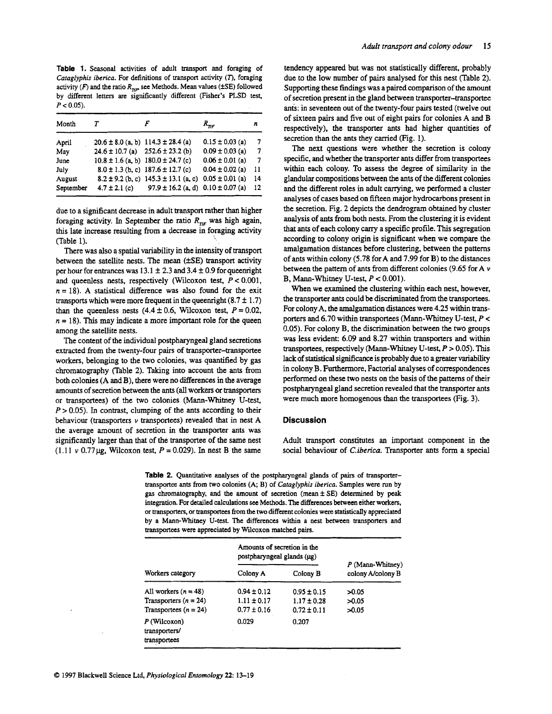**Table 1.** Seasonal activities of adult transport and foraging of *Cutaglyphis iben'ca.* For definitions of transport activity *(7).* foraging activity  $(F)$  and the ratio  $R_{\eta,r}$ , see Methods. Mean values ( $\pm$ SE) followed by different letters **are** significantly different (Fisher's **PLSD** tess  $P < 0.05$ ).

| Month     |                   |                                              | $R_{\tau\tau\tau}$  | n   |
|-----------|-------------------|----------------------------------------------|---------------------|-----|
| April     |                   | $20.6 \pm 8.0$ (a, b) 114.3 $\pm$ 28.4 (a)   | $0.15 \pm 0.03$ (a) | 7   |
| May       |                   | $24.6 \pm 10.7$ (a) $252.6 \pm 23.2$ (b)     | $0.09 \pm 0.03$ (a) | 7   |
| June      |                   | $10.8 \pm 1.6$ (a, b) $180.0 \pm 24.7$ (c)   | $0.06 \pm 0.01$ (a) | 7   |
| July      |                   | $8.0 \pm 1.3$ (b, c) $187.6 \pm 12.7$ (c)    | $0.04 \pm 0.02$ (a) | -11 |
| August    |                   | $8.2 \pm 9.2$ (b, c) $145.3 \pm 13.1$ (a, c) | $0.05 \pm 0.01$ (a) | 14  |
| September | $4.7 \pm 2.1$ (c) | $97.9 \pm 16.2$ (a, d) $0.10 \pm 0.07$ (a)   |                     | 12  |

due to a significant decrease in adult transport rather than higher foraging activity. In September the ratio  $R_{\eta F}$  was high again, **this** late increase resulting from a decrease in foraging activity (Table 1).

There was also a spatial variability in the intensity of transport between the satellite nests. The mean ( $\pm$ SE) transport activity per hour for entrances was  $13.1 \pm 2.3$  and  $3.4 \pm 0.9$  for queenright and queenless nests, respectively (Wilcoxon test, P *c* 0.001,  $n = 18$ ). A statistical difference was also found for the exit transports which were more frequent in the queenright  $(8.7 \pm 1.7)$ than the queenless nests  $(4.4 \pm 0.6,$  Wilcoxon test,  $P = 0.02$ ,  $n = 18$ ). This may indicate a more important role for the queen among the satellite nests.

The content of the individual postpharyngeal gland secretions extracted from the twenty-four pairs of transporter-transportee workers, belonging to the two colonies, was quantified by gas chromatography (Table **2).** Taking into account the **ants** from both colonies **(A** and B), there were no differences in the average amounts of secretion between the ants (all workers or transporters or transportees) of the two colonies (Mann-Whitney U-test,  $P > 0.05$ ). In contrast, clumping of the ants according to their behaviour (transporters  $\nu$  transportees) revealed that in nest A the average amount of secretion in the transporter ants was significantly larger than that of the transportee of the same nest (1.11  $v$  0.77  $\mu$ g, Wilcoxon test,  $P = 0.029$ ). In nest B the same

tendency appeared but was not statistically different, probably due to the low number of pairs analysed for this nest (Table **2).**  Supporting these findings **was** a paired comparison of the amount of secretion present in the gland between transporter-transportee ants: in seventeen out of the twenty-four pairs tested (twelve out of sixteen pairs and five out of eight pairs for colonies A and B respectively), the transporter ants had higher quantities of secretion than the ants they carried (Fig. 1).

The next questions were whether the secretion is colony specific, and whether the transporter ants differ from transportees within each colony. To assess the degree of similarity in the glandular compositions between the ants of **the** different colonies and the different roles in adult carrying, we performed a cluster analyses of cases based on fifteen **major** hydrocarbons present in the secretion. Fig. **2** depicts the dendrogram obtained by cluster analysis of **ants** from both nests. From the clustering it is evident that ants of each colony carry a specific profile. **This** segregation according to colony origin is significant when we compare the amalgamation distances before clustering, between the patterns of ants within colony (5.78 forA and 7.99 for **B)** to the distances between the pattern of ants from different colonies (9.65 for A  $\nu$ B, Mann-Whitney U-test,  $P < 0.001$ ).

When we examined the clustering within each nest, however, the transporter ants could be discriminated from the transportees. For colony A, the amalgamation distances were **4.25** within transporters and **6.70** within transportees (Mann-Whimey U-test, P < 0.05). For colony B, the discrimination between the two groups was less evident: 6.09 and 8.27 within transporters and within transportees, respectively (Mann-Whitney U-test, P > 0.05). **This**  lack of statistical significance is probably due to a *greater* variability in colony B. Furthermore, Factorial analyses **of** correspondences performed on these two nests on the basis of the patterns of their postpharyngeal gland secretion revealed that the transporter ants were much more homogenous than the transportees (Fig. **3).** 

#### **Discussion**

Adult transport constitutes an important component in the social behaviour of *Ciben'cu.* Transporter ants form a special

Table 2. Quantitative analyses of the postpharyngeal glands of pairs of transportertransportee ants from two colonies (A, B) of *Cataglyphis iberica.* Samples were run by gas chromatography, and the amount of secretion (mean **f** SE) determined by **peak**  integration. For detailed calculations **see** Methods. The differences between either workers, or **msporters,** or **transportees** from the two different colonies were statistically appreciated by a Mann-Whitney U-test. The differences within a nest between transporters and transportees were appreciated by Wilcoxon matched pairs.

|                                                 | Amounts of secretion in the<br>postpharyngeal glands (µg) |                 |                                         |  |
|-------------------------------------------------|-----------------------------------------------------------|-----------------|-----------------------------------------|--|
| Workers category                                | Colony A                                                  | Colony B        | $P$ (Mann-Whitney)<br>colony A/colony B |  |
| All workers $(n = 48)$                          | $0.94 \pm 0.12$                                           | $0.95 \pm 0.15$ | 50.05                                   |  |
| Transporters $(n = 24)$                         | $1.11 \pm 0.17$                                           | $1.17 \pm 0.28$ | 50.05                                   |  |
| Transportees $(n = 24)$                         | $0.77 \pm 0.16$                                           | $0.72 \pm 0.11$ | 50.05                                   |  |
| $P$ (Wilcoxon)<br>transporters/<br>transportees | 0.029                                                     | 0.207           |                                         |  |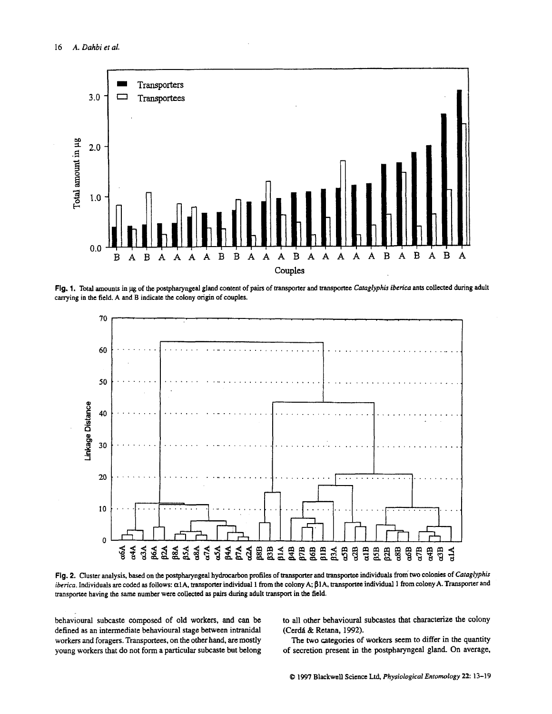

**Fig. 1. Total** amounts in **pg** of the postpharyngeal gland content of pairs of **transporter** and **trmsportee** *Cataglyphis iberica* ants collected during adult canying in the field. A and B indicate the colony **origin** of couples.



Fig. 2. Cluster analysis, based on the postpharyngeal hydrocarbon profiles of transporter and transportee individuals from two colonies of Cataglyphis iberica. Individuals are coded as follows:  $\alpha$ 1A, transporter individual 1 from the colony A;  $\beta$ 1A, transportee individual 1 from colony A. Transporter and transportee having the same number were collected as pairs during adult transport in the field.

behavioural subcaste composed of old workers, and can be defined as **an** intermediate behavioural stage between intranidal workers and foragers. Transportees. on the other hand, are mostly young workers that do not **form** a particular subcaste but belong to all other behavioural subcastes that characterize the colony (Cerdá & Retana, 1992).

The two categories of workers seem to differ **in** the quantity of secretion present in the postpharyngeal gland. On average,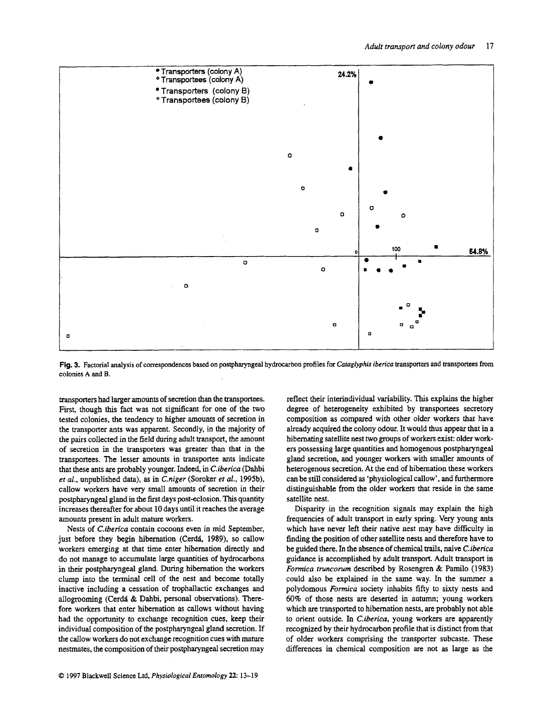

**Fig. 3. Factorial analysis of correspondences based on postpharyngeal hydrocarbon profiles for** *Cafaglyphis iberica* **transporters** and **transportees** from **colonies A and B.** 

transporters had larger amounts of secretion than the transportees. First, though this fact was not significant for one of the two tested colonies, the tendency to higher amounts of secretion in the transporter ants was apparent. Secondly, in the majority of the pairs collected in the field during adult transport, the amount of secretion in the transporters was greater than that in the transportees. The lesser amounts in transportee ants indicate that these ants are probably younger. Indeed, in *Ciberica* (Dahbi *et al.,* unpublished data), as in *Cniger* (Soroker *et al.,* 1995b). callow workers have very small amounts of secretion in their postpharyngeal gland in the first days post-eclosion. **This** quantity increases thereafter for about 10 days until it reaches the average amounts present in adult mature workers.

Nests of *C.ibenca* contain cocoons even in mid September, just before they begin hibernation (Cerdá, 1989), so callow workers emerging **at** that time enter hibernation directly and do not manage to accumulate large quantities of hydrocarbons in their postpharyngeal gland. During hibernation the workers clump into the terminal cell of the nest **and** become totally inactive including a cessation of trophallactic exchanges and allogrooming (Cerdi & Dahbi, personal observations). Therefore workers that enter hibernation as callows without having had the opportunity to exchange recognition cues, keep their individual composition of the postpharyngeal gland secretion. If the callow workers do not exchange recognition cues with mature nestmates, the composition of their postpharyngeal secretion may

reflect their interindividual variability. **This** explains the higher degree of heterogeneity exhibited by transportees secretory composition as compared with other older workers that have already acquired the colony odour. It would thus appear that in a hibernating satellite nest two groups of **workers** exist: older workers possessing large quantities and homogenous postpharyngeal gland secretion, and younger workers with smaller amounts of heterogenous secretion. At the end of hibernation these workers can be still cobsidered **as** 'physiological callow', and furthermore distinguishable from the older workers that reside in the same satellite nest.

Disparity in the recognition signals may explain the high frequencies of adult transport in early spring. Very young ants which have never left their native nest may have difficulty in finding the position of other satellite nests and therefore have to be guided there. In the absence of chemical trails, naive *Ciberica*  guidance is accomplished by adult transport. Adult transport in *Formica truncorum* described by Rosengren & Pamilo (1983) could also be explained in the same way. In the summer a polydomous *Formica* society inhabits **fifty** to sixty nests and *60%* of those nests are deserted in autumn; young workers which are transported to hibernation **nests,** are probably not able to orient outside. In *C.iberica,* young workers are apparently recognized by their hydrocarbon profile that is distinct from that of older workers comprising the transporter subcaste. These differences in chemical composition are not **as** large **as** the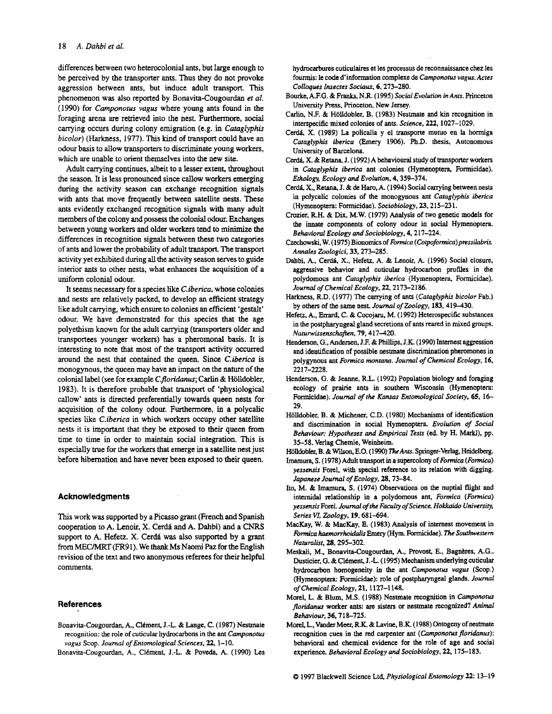differences between two heterocolonial ants, but large enough to be perceived by the transporter ants. **Thus** they **do** not provoke aggression between ants, but induce adult transport. This phenomenon was also reported by Bonavita-Cougourdan *et al.*  **(1** 990) for *Camponotus* **vagus** where young ants found in the foraging arena are retrieved into the nest. Furthermore, social carrying occurs during colony emigration (e.g. in *Cataglyphis bicolor)* (Harkness, 1977). This kind of transport could have an **odour** basis to allow transporters to discriminate young workers, which are unable to orient themselves into the new site.

Adult carrying continues, albeit to a lesser extent, throughout the season. It is less pronounced since callow workers emerging during the activity season can exchange recognition signals with ants that move frequently between satellite **nests.** These ants evidently exchanged recognition signals with many adult members of the colony and possess the colonial **odour.** Exchanges between young workers and older workers tend to minimize the differences in recognition signals between these two categories of ants and lower *the* probability of adult **transport.** The transport activity yet exhibited during all the activity season serves to guide interior ants to other nests, what enhances the acquisition of a uniform colonial odour.

It seems necessary for a **species** like *C.iben'cu,* whose colonies and nests are relatively packed, to develop an efficient strategy like adult carrying, which ensure to colonies an efficient 'gestalt' odour. We have demonstrated for this species that the age polyethism known for the adult carrying (transporters older and transportees younger workers) **has** a pheromonal basis. It **is**  interesting to note that most of the transport activity occurred around the nest that contained the queen. Since *Ciberica* **is**  monogynous, the queen may have **an** impact on the nature of the colonial label (see for example **C.floridanus; Carlin** & Holldobler, 1983). It is therefore probable that transport of 'physiological callow' ants is directed preferentially towards queen nests for acquisition of the colony odour. Furthermore, in a polycalic species **like** *C.iberica* in which workers occupy other satellite nests it is important that they be exposed to their queen from time to time in order to maintain social integration. This is especially true for the workers that emerge in a satellite nest just before hibernation and have never been exposed to their queen.

#### **Acknowledgments**

This work was supported by a Picasso grant (French and Spanish cooperation to A. Lenoir, X. Cerdk and A. Dahbi) and a *CNRS*  support to **A. Hefetz.** X. **Cerd6** was also supported by a grant **from** h4ECMRT (FR91). We thank **Ms Naomi Paz** for the English revision of the text and two anonymous referees for their helpful comments.

### **References**

- Bonavita-Cougourdan, A., Clément, J.-L. & Lange, C. (1987) Nestmate recognition: the role of cuticular hydrocarbons in the ant *Camponofus*  vagus Scop. *Journal of Entomological Sciences*, 22, 1-10.
- Bonavita-Cougourdan, A., Clément, J.-L. & Poveda, A. (1990) Les

hydrocarbures cuticulaires et Ies processus de reconnaissance chez **les fourmis:** le code d'information complexe de *Ccunponotus vagus. Acres Colloques Insecres Sociuux.* **6,273-280.** 

- Bourkc, **A.F.G.** &Franks, N.R. **(1995)** *Sociul Evolution in Ants.* Princeton University **Press,** Princeton, New Jersey.
- Carlin, N.F. & Hölldobler, B. (1983) Nestmate and kin recognition in interspecific mixed colonies of *ants. Science,* **222, 1027-1029.**
- Cerdá, X. (1989) La policalia y el transporte mutuo en la hormiga *Catuglyphis ibericu* (Emery **1906).** Ph.D. thesis. Autonomous University of Barcelona.
- Cerdá, X. & Retana, J. (1992) A behavioural study of transporter workers in *Caraglyphis ibericu* ant colonies (Hymenoptera. Formicidae). *Ethology, Ecology and Evolution,* **4,359-374.**
- **Cera** *X.,* **Retana,** J. & **de** Ham. **A. (1994)** Social canying between nests in polycalic colonies of the monogynous ant *Catuglyphis ibericu*  (Hymenoptera: Formicidae). *Sociobiology,* **23,215-23 1.**
- Crozier, R.H. & Dix. M.W. **(1979)** Analysis of two genetic **models** for the innate components of colony odour in social Hymenoptera. *Behavioml Ecology und Sociobiology.* **4,217-224.**
- **czechowski,** W. **(1975)** Bionomics of *Fom'cu (Cofpoformicu)pressilubfis. Annales Zoologici,* **33,273-285.**
- Dahbi, A., Cerdá, X., Hefetz, A. & Lenoir, A. (1996) Social closure, aggressive behavior and cuticular hydrocarbon profiles in **the**  polydomous ant *Cataglyphis iberica* (Hymenoptera, Formicidae). *Journal of Chemicul Ecology,* **22,2173-2186.**
- Harkness, R.D. (1977) The carrying of ants (Cataglyphis bicolor Fab.) by others of the **same** nest. *Journal of Zoology,* **183,419-430.**
- Hefetz, **A., Emrd,** C. & **Cocojaru.** M. **(1992)** Heterospecific substances in the postpharyngeal gland secretions of **ants** reared in mixed groups. *Numnuissenschafren,* **79,417-420.**
- Henderson, **G.,** Andersen, J.F. & Phillips, J.K. **(1990)** Internest aggression and identification of possible nestmate discrimination pheromones in polygynous ant *Formica montanu. Jouml of Chemical Ecology,* **16, 22 17-2228.**
- Henderson, G. & Jeanne, R.L. **(1992)** Population biology **and** foraging ecology of prairie ants in southern Wisconsin (Hymenoptera: Formicidae). Journal of the Kansas Entomological Society, 65, 16-**29.**
- Holldobler, B. & Michener, C.D. **(1980)** Mechanisms of identification and discrimination in social Hymenoptera. *Evolution* of Social *Eehuviouc Hypotheses and Empirical Tests* **(ed** by H. Markl), pp. **35-58.** Verlag Chernie, Weinheim.
- Hölldobler, B. & Wilson, E.O. (1990) The Ants. Springer-Verlag, Heidelberg.
- **Imamura, S. (1 978)** Adult **transport in** a supercolony of *Fomica (Fom'ca) yessensis* Forel. **with** special reference to its relation with digging. *Jupunese Jouml* of *Ecology,* **28.73-84.**
- Ito. M. & Imamura. **S. (1974)** Observations on the nuptial flight and intemidal relationship in a polydomous ant, *Fonnicu (Fom'ca) yessensis* Ford. *Jouml* of *the Faculty of Science, Hokkoido Universiv, Series VI, Zoology,* **19,681-694.**
- MacKay, W. & MacKay. E. **(1983)** Analysis **of internest** movement in *Formica haemorrhoidalis* Emery (Hym. Formicidae). *The Southwestern Nuturnlist,* **28.295-302.**
- Meskali, M., Bonavita-Cougourdan, A., Provost, E., Bagnères, A.G., Dusticier, G. & Clément, J.-L. (1995) Mechanism underlying cuticular hydrocarbon homogeneity in the ant *Camponorus vagur* (Scop.) (Hymenoptera: Formicidae): role of postpharyngeal glands. Journal *ofChemicul Ecology,* **21,1127-1148.**
- Morel, L. & Blum, M.S. (1988) Nestmate recognition in *Camponotus floridanus* worker ants: **are** sisters or nestmate recognized? *Animal Behaviour,* **36.718-725.**
- Morel, L., Vander Meer, R.K. & Lavine, B.K. (1988) Ontogeny of nestmate recognition cues in the red carpenter ant *(Camponotus floridanus)*: behavioral and chemical evidence for the role of age and social experience. *Eehuviornl Ecology and Sociobiology,* **22,175-183.**